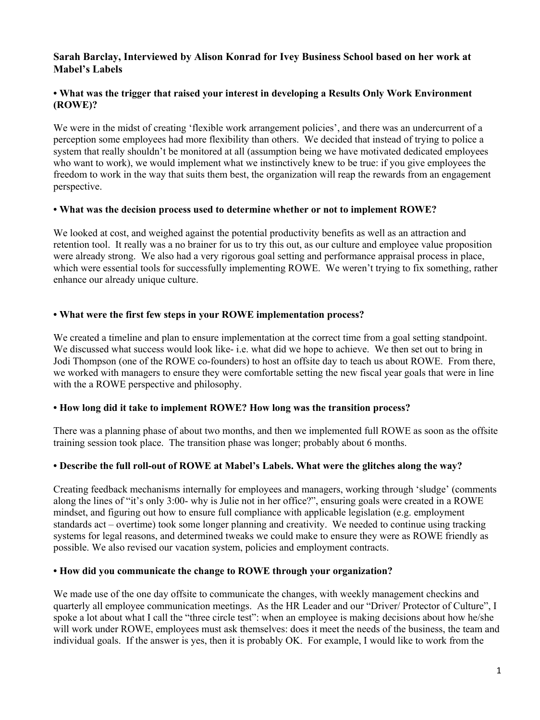# **Sarah Barclay, Interviewed by Alison Konrad for Ivey Business School based on her work at Mabel's Labels**

# **• What was the trigger that raised your interest in developing a Results Only Work Environment (ROWE)?**

We were in the midst of creating 'flexible work arrangement policies', and there was an undercurrent of a perception some employees had more flexibility than others. We decided that instead of trying to police a system that really shouldn't be monitored at all (assumption being we have motivated dedicated employees who want to work), we would implement what we instinctively knew to be true: if you give employees the freedom to work in the way that suits them best, the organization will reap the rewards from an engagement perspective.

### **• What was the decision process used to determine whether or not to implement ROWE?**

We looked at cost, and weighed against the potential productivity benefits as well as an attraction and retention tool. It really was a no brainer for us to try this out, as our culture and employee value proposition were already strong. We also had a very rigorous goal setting and performance appraisal process in place, which were essential tools for successfully implementing ROWE. We weren't trying to fix something, rather enhance our already unique culture.

# **• What were the first few steps in your ROWE implementation process?**

We created a timeline and plan to ensure implementation at the correct time from a goal setting standpoint. We discussed what success would look like- i.e. what did we hope to achieve. We then set out to bring in Jodi Thompson (one of the ROWE co-founders) to host an offsite day to teach us about ROWE. From there, we worked with managers to ensure they were comfortable setting the new fiscal year goals that were in line with the a ROWE perspective and philosophy.

# **• How long did it take to implement ROWE? How long was the transition process?**

There was a planning phase of about two months, and then we implemented full ROWE as soon as the offsite training session took place. The transition phase was longer; probably about 6 months.

# **• Describe the full roll-out of ROWE at Mabel's Labels. What were the glitches along the way?**

Creating feedback mechanisms internally for employees and managers, working through 'sludge' (comments along the lines of "it's only 3:00- why is Julie not in her office?", ensuring goals were created in a ROWE mindset, and figuring out how to ensure full compliance with applicable legislation (e.g. employment standards act – overtime) took some longer planning and creativity. We needed to continue using tracking systems for legal reasons, and determined tweaks we could make to ensure they were as ROWE friendly as possible. We also revised our vacation system, policies and employment contracts.

# **• How did you communicate the change to ROWE through your organization?**

We made use of the one day offsite to communicate the changes, with weekly management checkins and quarterly all employee communication meetings. As the HR Leader and our "Driver/ Protector of Culture", I spoke a lot about what I call the "three circle test": when an employee is making decisions about how he/she will work under ROWE, employees must ask themselves: does it meet the needs of the business, the team and individual goals. If the answer is yes, then it is probably OK. For example, I would like to work from the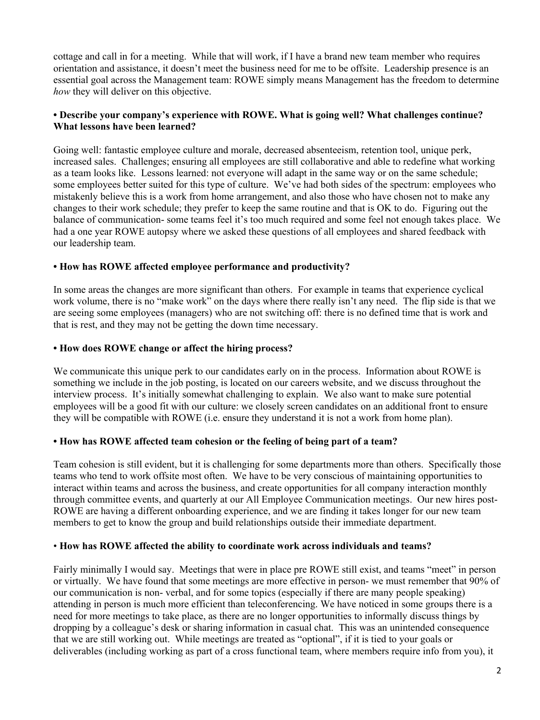cottage and call in for a meeting. While that will work, if I have a brand new team member who requires orientation and assistance, it doesn't meet the business need for me to be offsite. Leadership presence is an essential goal across the Management team: ROWE simply means Management has the freedom to determine *how* they will deliver on this objective.

### **• Describe your company's experience with ROWE. What is going well? What challenges continue? What lessons have been learned?**

Going well: fantastic employee culture and morale, decreased absenteeism, retention tool, unique perk, increased sales. Challenges; ensuring all employees are still collaborative and able to redefine what working as a team looks like. Lessons learned: not everyone will adapt in the same way or on the same schedule; some employees better suited for this type of culture. We've had both sides of the spectrum: employees who mistakenly believe this is a work from home arrangement, and also those who have chosen not to make any changes to their work schedule; they prefer to keep the same routine and that is OK to do. Figuring out the balance of communication- some teams feel it's too much required and some feel not enough takes place. We had a one year ROWE autopsy where we asked these questions of all employees and shared feedback with our leadership team.

# **• How has ROWE affected employee performance and productivity?**

In some areas the changes are more significant than others. For example in teams that experience cyclical work volume, there is no "make work" on the days where there really isn't any need. The flip side is that we are seeing some employees (managers) who are not switching off: there is no defined time that is work and that is rest, and they may not be getting the down time necessary.

### **• How does ROWE change or affect the hiring process?**

We communicate this unique perk to our candidates early on in the process. Information about ROWE is something we include in the job posting, is located on our careers website, and we discuss throughout the interview process. It's initially somewhat challenging to explain. We also want to make sure potential employees will be a good fit with our culture: we closely screen candidates on an additional front to ensure they will be compatible with ROWE (i.e. ensure they understand it is not a work from home plan).

#### **• How has ROWE affected team cohesion or the feeling of being part of a team?**

Team cohesion is still evident, but it is challenging for some departments more than others. Specifically those teams who tend to work offsite most often. We have to be very conscious of maintaining opportunities to interact within teams and across the business, and create opportunities for all company interaction monthly through committee events, and quarterly at our All Employee Communication meetings. Our new hires post-ROWE are having a different onboarding experience, and we are finding it takes longer for our new team members to get to know the group and build relationships outside their immediate department.

#### • **How has ROWE affected the ability to coordinate work across individuals and teams?**

Fairly minimally I would say. Meetings that were in place pre ROWE still exist, and teams "meet" in person or virtually. We have found that some meetings are more effective in person- we must remember that 90% of our communication is non- verbal, and for some topics (especially if there are many people speaking) attending in person is much more efficient than teleconferencing. We have noticed in some groups there is a need for more meetings to take place, as there are no longer opportunities to informally discuss things by dropping by a colleague's desk or sharing information in casual chat. This was an unintended consequence that we are still working out. While meetings are treated as "optional", if it is tied to your goals or deliverables (including working as part of a cross functional team, where members require info from you), it